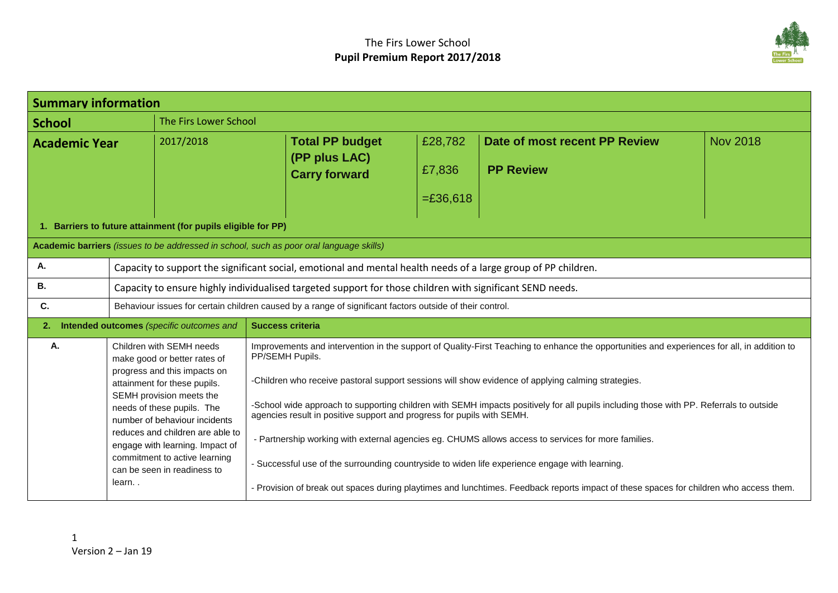

| <b>Summary information</b>                                                              |                                                                                                                                                      |                                                                                                                |                                                                                                                                                                                                                  |                                  |                                                   |                 |  |
|-----------------------------------------------------------------------------------------|------------------------------------------------------------------------------------------------------------------------------------------------------|----------------------------------------------------------------------------------------------------------------|------------------------------------------------------------------------------------------------------------------------------------------------------------------------------------------------------------------|----------------------------------|---------------------------------------------------|-----------------|--|
| <b>School</b>                                                                           |                                                                                                                                                      | The Firs Lower School                                                                                          |                                                                                                                                                                                                                  |                                  |                                                   |                 |  |
| <b>Academic Year</b>                                                                    |                                                                                                                                                      | 2017/2018                                                                                                      | <b>Total PP budget</b><br>(PP plus LAC)<br><b>Carry forward</b>                                                                                                                                                  | £28,782<br>£7,836<br>$= £36,618$ | Date of most recent PP Review<br><b>PP Review</b> | <b>Nov 2018</b> |  |
| 1. Barriers to future attainment (for pupils eligible for PP)                           |                                                                                                                                                      |                                                                                                                |                                                                                                                                                                                                                  |                                  |                                                   |                 |  |
| Academic barriers (issues to be addressed in school, such as poor oral language skills) |                                                                                                                                                      |                                                                                                                |                                                                                                                                                                                                                  |                                  |                                                   |                 |  |
| Α.                                                                                      |                                                                                                                                                      | Capacity to support the significant social, emotional and mental health needs of a large group of PP children. |                                                                                                                                                                                                                  |                                  |                                                   |                 |  |
| В.                                                                                      |                                                                                                                                                      | Capacity to ensure highly individualised targeted support for those children with significant SEND needs.      |                                                                                                                                                                                                                  |                                  |                                                   |                 |  |
| C.                                                                                      | Behaviour issues for certain children caused by a range of significant factors outside of their control.                                             |                                                                                                                |                                                                                                                                                                                                                  |                                  |                                                   |                 |  |
| Intended outcomes (specific outcomes and<br><b>Success criteria</b><br>2.               |                                                                                                                                                      |                                                                                                                |                                                                                                                                                                                                                  |                                  |                                                   |                 |  |
| Α.                                                                                      | Children with SEMH needs<br>make good or better rates of<br>progress and this impacts on<br>attainment for these pupils.<br>SEMH provision meets the |                                                                                                                | Improvements and intervention in the support of Quality-First Teaching to enhance the opportunities and experiences for all, in addition to<br>PP/SEMH Pupils.                                                   |                                  |                                                   |                 |  |
|                                                                                         |                                                                                                                                                      |                                                                                                                | -Children who receive pastoral support sessions will show evidence of applying calming strategies.                                                                                                               |                                  |                                                   |                 |  |
|                                                                                         |                                                                                                                                                      | needs of these pupils. The<br>number of behaviour incidents                                                    | -School wide approach to supporting children with SEMH impacts positively for all pupils including those with PP. Referrals to outside<br>agencies result in positive support and progress for pupils with SEMH. |                                  |                                                   |                 |  |
|                                                                                         | reduces and children are able to<br>engage with learning. Impact of                                                                                  |                                                                                                                | - Partnership working with external agencies eg. CHUMS allows access to services for more families.                                                                                                              |                                  |                                                   |                 |  |
|                                                                                         |                                                                                                                                                      | commitment to active learning<br>can be seen in readiness to                                                   | - Successful use of the surrounding countryside to widen life experience engage with learning.                                                                                                                   |                                  |                                                   |                 |  |
|                                                                                         | learn                                                                                                                                                |                                                                                                                | - Provision of break out spaces during playtimes and lunchtimes. Feedback reports impact of these spaces for children who access them.                                                                           |                                  |                                                   |                 |  |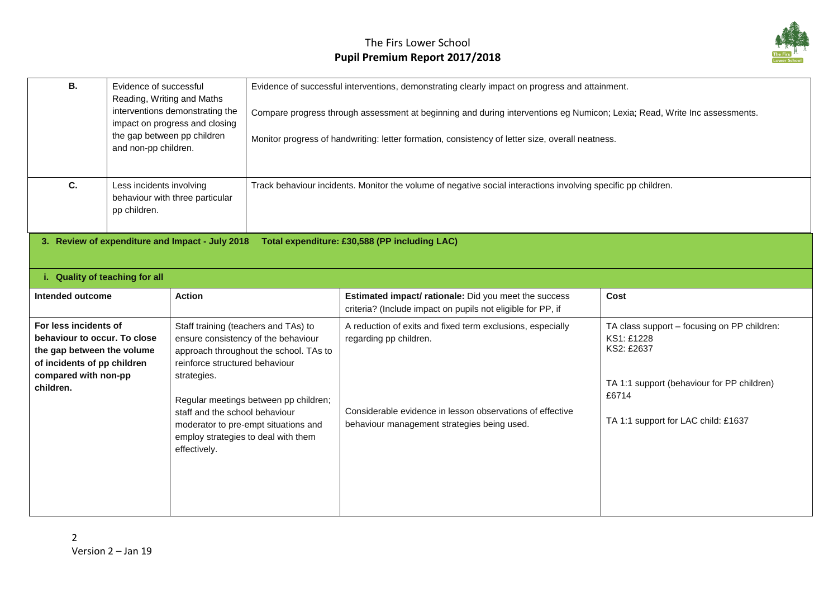

| В. | Evidence of successful<br>Reading, Writing and Maths<br>interventions demonstrating the<br>impact on progress and closing<br>the gap between pp children<br>and non-pp children. | Evidence of successful interventions, demonstrating clearly impact on progress and attainment.<br>Compare progress through assessment at beginning and during interventions eg Numicon; Lexia; Read, Write Inc assessments.<br>Monitor progress of handwriting: letter formation, consistency of letter size, overall neatness. |
|----|----------------------------------------------------------------------------------------------------------------------------------------------------------------------------------|---------------------------------------------------------------------------------------------------------------------------------------------------------------------------------------------------------------------------------------------------------------------------------------------------------------------------------|
| С. | Less incidents involving<br>behaviour with three particular<br>pp children.                                                                                                      | Track behaviour incidents. Monitor the volume of negative social interactions involving specific pp children.                                                                                                                                                                                                                   |
|    | 3. Review of expenditure and Impact - July 2018                                                                                                                                  | Total expenditure: £30,588 (PP including LAC)                                                                                                                                                                                                                                                                                   |

**i. Quality of teaching for all**

| Intended outcome                                                                                                                                        | <b>Action</b>                                                                                                                                                                                                   | <b>Estimated impact/ rationale:</b> Did you meet the success<br>criteria? (Include impact on pupils not eligible for PP, if | Cost                                                                                                                           |
|---------------------------------------------------------------------------------------------------------------------------------------------------------|-----------------------------------------------------------------------------------------------------------------------------------------------------------------------------------------------------------------|-----------------------------------------------------------------------------------------------------------------------------|--------------------------------------------------------------------------------------------------------------------------------|
| For less incidents of<br>behaviour to occur. To close<br>the gap between the volume<br>of incidents of pp children<br>compared with non-pp<br>children. | Staff training (teachers and TAs) to<br>ensure consistency of the behaviour<br>approach throughout the school. TAs to<br>reinforce structured behaviour<br>strategies.<br>Regular meetings between pp children; | A reduction of exits and fixed term exclusions, especially<br>regarding pp children.                                        | TA class support – focusing on PP children:<br>KS1: £1228<br>KS2: £2637<br>TA 1:1 support (behaviour for PP children)<br>£6714 |
|                                                                                                                                                         | staff and the school behaviour<br>moderator to pre-empt situations and<br>employ strategies to deal with them<br>effectively.                                                                                   | Considerable evidence in lesson observations of effective<br>behaviour management strategies being used.                    | TA 1:1 support for LAC child: £1637                                                                                            |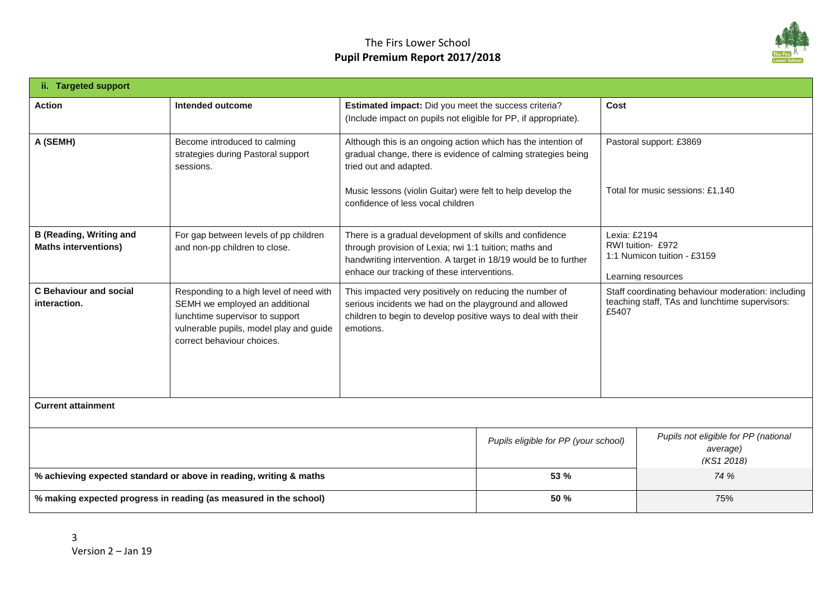## The Firs Lower School **Pupil Premium Report 2017/2018**



| ii. Targeted support                                                                                                                                                                                                                   |                                                                                 |                                                                                                                                                                                                                                     |                                      |                                                                                                               |                                                                |
|----------------------------------------------------------------------------------------------------------------------------------------------------------------------------------------------------------------------------------------|---------------------------------------------------------------------------------|-------------------------------------------------------------------------------------------------------------------------------------------------------------------------------------------------------------------------------------|--------------------------------------|---------------------------------------------------------------------------------------------------------------|----------------------------------------------------------------|
| <b>Action</b>                                                                                                                                                                                                                          | <b>Intended outcome</b>                                                         | Estimated impact: Did you meet the success criteria?<br>(Include impact on pupils not eligible for PP, if appropriate).                                                                                                             |                                      | Cost                                                                                                          |                                                                |
| A (SEMH)                                                                                                                                                                                                                               | Become introduced to calming<br>strategies during Pastoral support<br>sessions. | Although this is an ongoing action which has the intention of<br>gradual change, there is evidence of calming strategies being<br>tried out and adapted.                                                                            |                                      |                                                                                                               | Pastoral support: £3869                                        |
|                                                                                                                                                                                                                                        |                                                                                 | Music lessons (violin Guitar) were felt to help develop the<br>confidence of less vocal children                                                                                                                                    |                                      | Total for music sessions: £1.140                                                                              |                                                                |
| <b>B</b> (Reading, Writing and<br><b>Maths interventions)</b>                                                                                                                                                                          | For gap between levels of pp children<br>and non-pp children to close.          | There is a gradual development of skills and confidence<br>through provision of Lexia; rwi 1:1 tuition; maths and<br>handwriting intervention. A target in 18/19 would be to further<br>enhace our tracking of these interventions. |                                      | Lexia: £2194<br>RWI tuition- £972<br>1:1 Numicon tuition - £3159<br>Learning resources                        |                                                                |
| <b>C</b> Behaviour and social<br>Responding to a high level of need with<br>SEMH we employed an additional<br>interaction.<br>lunchtime supervisor to support<br>vulnerable pupils, model play and guide<br>correct behaviour choices. |                                                                                 | This impacted very positively on reducing the number of<br>serious incidents we had on the playground and allowed<br>children to begin to develop positive ways to deal with their<br>emotions.                                     |                                      | Staff coordinating behaviour moderation: including<br>teaching staff, TAs and lunchtime supervisors:<br>£5407 |                                                                |
| <b>Current attainment</b>                                                                                                                                                                                                              |                                                                                 |                                                                                                                                                                                                                                     |                                      |                                                                                                               |                                                                |
|                                                                                                                                                                                                                                        |                                                                                 |                                                                                                                                                                                                                                     | Pupils eligible for PP (your school) |                                                                                                               | Pupils not eligible for PP (national<br>average)<br>(KS1 2018) |
| % achieving expected standard or above in reading, writing & maths                                                                                                                                                                     |                                                                                 |                                                                                                                                                                                                                                     | 53 %                                 |                                                                                                               | 74 %                                                           |
|                                                                                                                                                                                                                                        | % making expected progress in reading (as measured in the school)               |                                                                                                                                                                                                                                     | 50 %                                 |                                                                                                               | 75%                                                            |